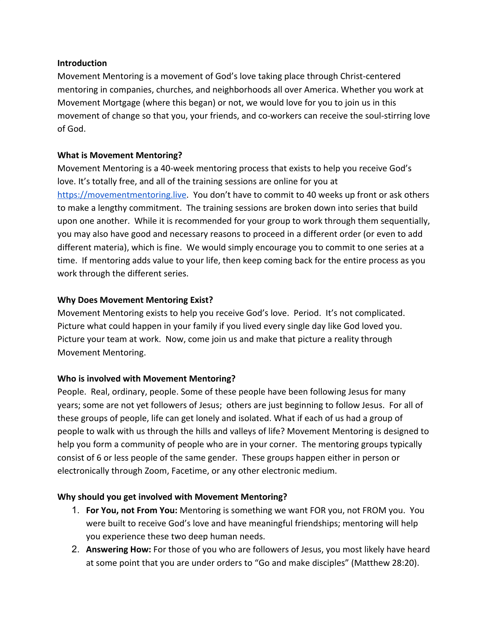#### **Introduction**

Movement Mentoring is a movement of God's love taking place through Christ-centered mentoring in companies, churches, and neighborhoods all over America. Whether you work at Movement Mortgage (where this began) or not, we would love for you to join us in this movement of change so that you, your friends, and co-workers can receive the soul-stirring love of God.

## **What is Movement Mentoring?**

Movement Mentoring is a 40-week mentoring process that exists to help you receive God's love. It's totally free, and all of the training sessions are online for you at [https://movementmentoring.live](https://movementmentoring.live/). You don't have to commit to 40 weeks up front or ask others to make a lengthy commitment. The training sessions are broken down into series that build upon one another. While it is recommended for your group to work through them sequentially, you may also have good and necessary reasons to proceed in a different order (or even to add different materia), which is fine. We would simply encourage you to commit to one series at a time. If mentoring adds value to your life, then keep coming back for the entire process as you work through the different series.

# **Why Does Movement Mentoring Exist?**

Movement Mentoring exists to help you receive God's love. Period.It's not complicated. Picture what could happen in your family if you lived every single day like God loved you. Picture your team at work. Now, come join us and make that picture a reality through Movement Mentoring.

# **Who is involved with Movement Mentoring?**

People. Real, ordinary, people. Some of these people have been following Jesus for many years; some are not yet followers of Jesus; others are just beginning to follow Jesus. For all of these groups of people, life can get lonely and isolated. What if each of us had a group of people to walk with us through the hills and valleys of life? Movement Mentoring is designed to help you form a community of people who are in your corner. The mentoring groups typically consist of 6 or less people of the same gender.These groups happen either in person or electronically through Zoom, Facetime, or any other electronic medium.

# **Why should you get involved with Movement Mentoring?**

- 1. **For You, not From You:** Mentoring is something we want FOR you, not FROM you. You were built to receive God's love and have meaningful friendships; mentoring will help you experience these two deep human needs.
- 2. **Answering How:** For those of you who are followers of Jesus, you most likely have heard at some point that you are under orders to "Go and make disciples" (Matthew 28:20).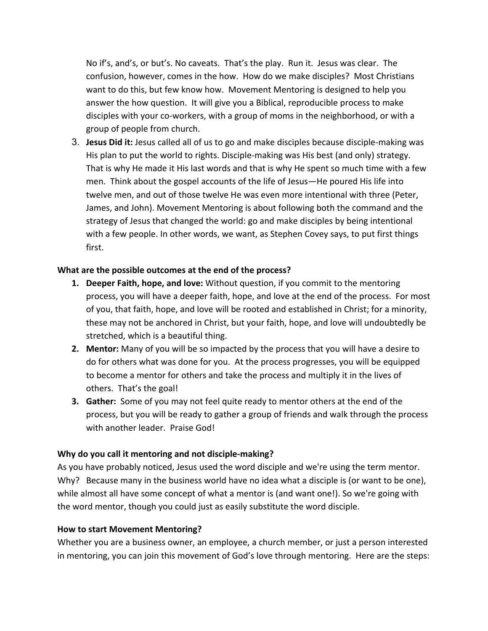No if's, and's, or but's. No caveats. That's the play. Run it. Jesus was clear. The confusion, however, comes in the how. How do we make disciples? Most Christians want to do this, but few know how. Movement Mentoring is designed to help you answer the how question. It will give you a Biblical, reproducible process to make disciples with your co-workers, with a group of moms in the neighborhood, or with a group of people from church.

3. **Jesus Did it:** Jesus called all of us to go and make disciples because disciple-making was His plan to put the world to rights. Disciple-making was His best (and only) strategy. That is why He made it His last words and that is why He spent so much time with a few men. Think about the gospel accounts of the life of Jesus—He poured His life into twelve men, and out of those twelve He was even more intentional with three (Peter, James, and John). Movement Mentoring is about following both the command and the strategy of Jesus that changed the world: go and make disciples by being intentional with a few people. In other words, we want, as Stephen Covey says, to put first things first.

#### **What are the possible outcomes at the end of the process?**

- **1. Deeper Faith, hope, and love:** Without question, if you commit to the mentoring process, you will have a deeper faith, hope, and love at the end of the process. For most of you, that faith, hope, and love will be rooted and established in Christ; for a minority, these may not be anchored in Christ, but your faith, hope, and love will undoubtedly be stretched, which is a beautiful thing.
- **2. Mentor:** Many of you will be so impacted by the process that you will have a desire to do for others what was done for you. At the process progresses, you will be equipped to become a mentor for others and take the process and multiply it in the lives of others. That's the goal!
- **3. Gather:** Some of you may not feel quite ready to mentor others at the end of the process, but you will be ready to gather a group of friends and walk through the process with another leader. Praise God!

## **Why do you call it mentoring and not disciple-making?**

As you have probably noticed, Jesus used the word disciple and we're using the term mentor. Why? Because many in the business world have no idea what a disciple is (or want to be one), while almost all have some concept of what a mentor is (and want one!). So we're going with the word mentor, though you could just as easily substitute the word disciple.

#### **How to start Movement Mentoring?**

Whether you are a business owner, an employee, a church member, or just a person interested in mentoring, you can join this movement of God's love through mentoring. Here are the steps: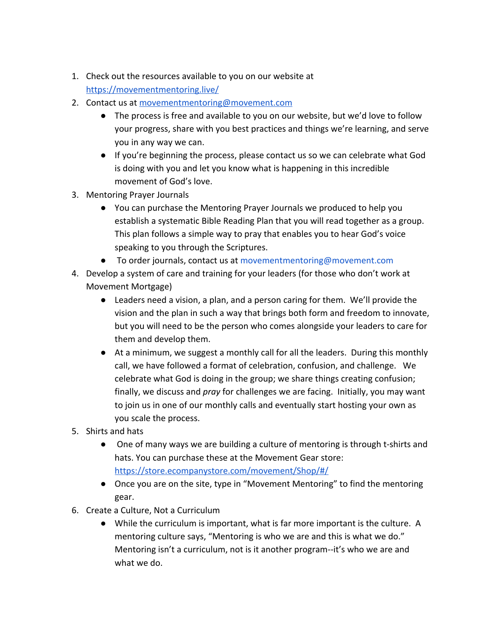- 1. Check out the resources available to you on our website at <https://movementmentoring.live/>
- 2. Contact us at [movementmentoring@movement.com](mailto:movementmentoring@movement.com)
	- The process is free and available to you on our website, but we'd love to follow your progress, share with you best practices and things we're learning, and serve you in any way we can.
	- If you're beginning the process, please contact us so we can celebrate what God is doing with you and let you know what is happening in this incredible movement of God's love.
- 3. Mentoring Prayer Journals
	- You can purchase the Mentoring Prayer Journals we produced to help you establish a systematic Bible Reading Plan that you will read together as a group. This plan follows a simple way to pray that enables you to hear God's voice speaking to you through the Scriptures.
	- To order journals, contact us at movementmentoring@movement.com
- 4. Develop a system of care and training for your leaders (for those who don't work at Movement Mortgage)
	- Leaders need a vision, a plan, and a person caring for them. We'll provide the vision and the plan in such a way that brings both form and freedom to innovate, but you will need to be the person who comes alongside your leaders to care for them and develop them.
	- At a minimum, we suggest a monthly call for all the leaders. During this monthly call, we have followed a format of celebration, confusion, and challenge. We celebrate what God is doing in the group; we share things creating confusion; finally, we discuss and *pray* for challenges we are facing. Initially, you may want to join us in one of our monthly calls and eventually start hosting your own as you scale the process.
- 5. Shirts and hats
	- One of many ways we are building a culture of mentoring is through t-shirts and hats. You can purchase these at the Movement Gear store: <https://store.ecompanystore.com/movement/Shop/#/>
	- Once you are on the site, type in "Movement Mentoring" to find the mentoring gear.
- 6. Create a Culture, Not a Curriculum
	- While the curriculum is important, what is far more important is the culture. A mentoring culture says, "Mentoring is who we are and this is what we do." Mentoring isn't a curriculum, not is it another program--it's who we are and what we do.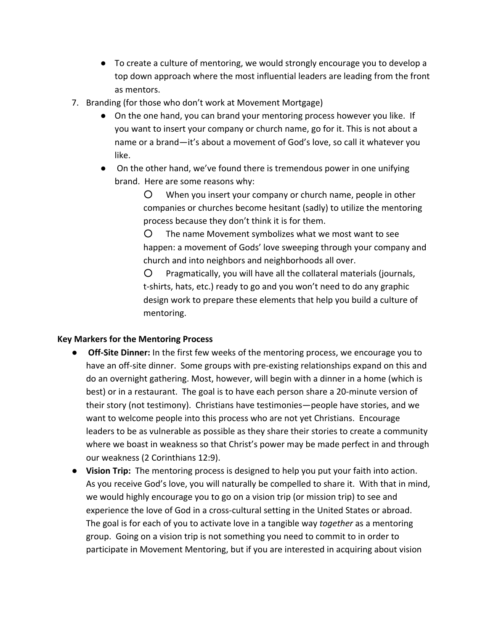- To create a culture of mentoring, we would strongly encourage you to develop a top down approach where the most influential leaders are leading from the front as mentors.
- 7. Branding (for those who don't work at Movement Mortgage)
	- On the one hand, you can brand your mentoring process however you like. If you want to insert your company or church name, go for it. This is not about a name or a brand—it's about a movement of God's love, so call it whatever you like.
	- On the other hand, we've found there is tremendous power in one unifying brand. Here are some reasons why:

○ When you insert your company or church name, people in other companies or churches become hesitant (sadly) to utilize the mentoring process because they don't think it is for them.

○ The name Movement symbolizes what we most want to see happen: a movement of Gods' love sweeping through your company and church and into neighbors and neighborhoods all over.

 $\bigcirc$  Pragmatically, you will have all the collateral materials (journals, t-shirts, hats, etc.) ready to go and you won't need to do any graphic design work to prepare these elements that help you build a culture of mentoring.

## **Key Markers for the Mentoring Process**

- **Off-Site Dinner:** In the first few weeks of the mentoring process, we encourage you to have an off-site dinner. Some groups with pre-existing relationships expand on this and do an overnight gathering. Most, however, will begin with a dinner in a home (which is best) or in a restaurant. The goal is to have each person share a 20-minute version of their story (not testimony). Christians have testimonies—people have stories, and we want to welcome people into this process who are not yet Christians. Encourage leaders to be as vulnerable as possible as they share their stories to create a community where we boast in weakness so that Christ's power may be made perfect in and through our weakness (2 Corinthians 12:9).
- **Vision Trip:** The mentoring process is designed to help you put your faith into action. As you receive God's love, you will naturally be compelled to share it. With that in mind, we would highly encourage you to go on a vision trip (or mission trip) to see and experience the love of God in a cross-cultural setting in the United States or abroad. The goal is for each of you to activate love in a tangible way *together* as a mentoring group. Going on a vision trip is not something you need to commit to in order to participate in Movement Mentoring, but if you are interested in acquiring about vision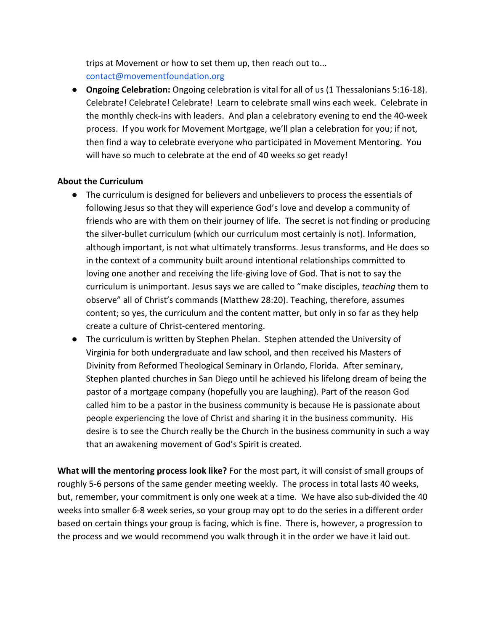trips at Movement or how to set them up, then reach out to... contact@movementfoundation.org

● **Ongoing Celebration:** Ongoing celebration is vital for all of us (1 Thessalonians 5:16-18). Celebrate! Celebrate! Celebrate! Learn to celebrate small wins each week. Celebrate in the monthly check-ins with leaders. And plan a celebratory evening to end the 40-week process. If you work for Movement Mortgage, we'll plan a celebration for you; if not, then find a way to celebrate everyone who participated in Movement Mentoring. You will have so much to celebrate at the end of 40 weeks so get ready!

#### **About the Curriculum**

- The curriculum is designed for believers and unbelievers to process the essentials of following Jesus so that they will experience God's love and develop a community of friends who are with them on their journey of life. The secret is not finding or producing the silver-bullet curriculum (which our curriculum most certainly is not). Information, although important, is not what ultimately transforms. Jesus transforms, and He does so in the context of a community built around intentional relationships committed to loving one another and receiving the life-giving love of God. That is not to say the curriculum is unimportant. Jesus says we are called to "make disciples, *teaching* them to observe" all of Christ's commands (Matthew 28:20). Teaching, therefore, assumes content; so yes, the curriculum and the content matter, but only in so far as they help create a culture of Christ-centered mentoring.
- The curriculum is written by Stephen Phelan. Stephen attended the University of Virginia for both undergraduate and law school, and then received his Masters of Divinity from Reformed Theological Seminary in Orlando, Florida. After seminary, Stephen planted churches in San Diego until he achieved his lifelong dream of being the pastor of a mortgage company (hopefully you are laughing). Part of the reason God called him to be a pastor in the business community is because He is passionate about people experiencing the love of Christ and sharing it in the business community. His desire is to see the Church really be the Church in the business community in such a way that an awakening movement of God's Spirit is created.

**What will the mentoring process look like?** For the most part, it will consist of small groups of roughly 5-6 persons of the same gender meeting weekly. The process in total lasts 40 weeks, but, remember, your commitment is only one week at a time. We have also sub-divided the 40 weeks into smaller 6-8 week series, so your group may opt to do the series in a different order based on certain things your group is facing, which is fine. There is, however, a progression to the process and we would recommend you walk through it in the order we have it laid out.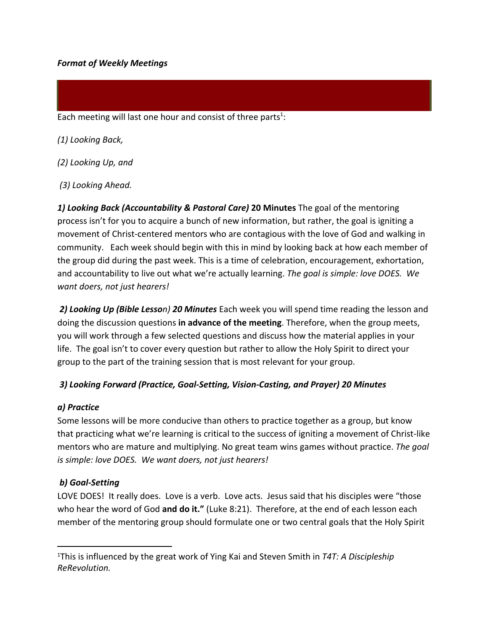# *Format of Weekly Meetings*

Each meeting will last one hour and consist of three parts $1$ :

*(1) Looking Back,*

*(2) Looking Up, and*

 *(3) Looking Ahead.* 

*1) Looking Back (Accountability & Pastoral Care)* **20 Minutes** The goal of the mentoring process isn't for you to acquire a bunch of new information, but rather, the goal is igniting a movement of Christ-centered mentors who are contagious with the love of God and walking in community. Each week should begin with this in mind by looking back at how each member of the group did during the past week. This is a time of celebration, encouragement, exhortation, and accountability to live out what we're actually learning. *The goal is simple: love DOES. We want doers, not just hearers!*

*2) Looking Up (Bible Lesson) 20 Minutes* Each week you will spend time reading the lesson and doing the discussion questions **in advance of the meeting**. Therefore, when the group meets, you will work through a few selected questions and discuss how the material applies in your life. The goal isn't to cover every question but rather to allow the Holy Spirit to direct your group to the part of the training session that is most relevant for your group.

## *3) Looking Forward (Practice, Goal-Setting, Vision-Casting, and Prayer) 20 Minutes*

## *a) Practice*

Some lessons will be more conducive than others to practice together as a group, but know that practicing what we're learning is critical to the success of igniting a movement of Christ-like mentors who are mature and multiplying. No great team wins games without practice. *The goal is simple: love DOES. We want doers, not just hearers!*

## *b) Goal-Setting*

LOVE DOES! It really does. Love is a verb. Love acts. Jesus said that his disciples were "those who hear the word of God **and do it."** (Luke 8:21). Therefore, at the end of each lesson each member of the mentoring group should formulate one or two central goals that the Holy Spirit

<sup>1</sup>This is influenced by the great work of Ying Kai and Steven Smith in *T4T: A Discipleship ReRevolution.*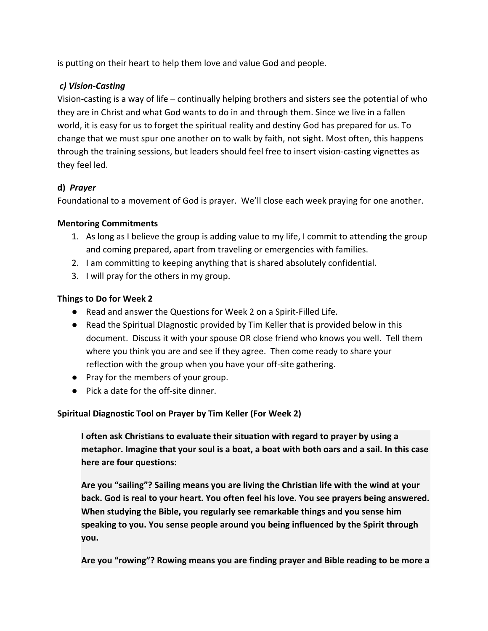is putting on their heart to help them love and value God and people.

# *c) Vision-Casting*

Vision-casting is a way of life – continually helping brothers and sisters see the potential of who they are in Christ and what God wants to do in and through them. Since we live in a fallen world, it is easy for us to forget the spiritual reality and destiny God has prepared for us. To change that we must spur one another on to walk by faith, not sight. Most often, this happens through the training sessions, but leaders should feel free to insert vision-casting vignettes as they feel led.

# **d)** *Prayer*

Foundational to a movement of God is prayer. We'll close each week praying for one another.

## **Mentoring Commitments**

- 1. As long as I believe the group is adding value to my life, I commit to attending the group and coming prepared, apart from traveling or emergencies with families.
- 2. I am committing to keeping anything that is shared absolutely confidential.
- 3. I will pray for the others in my group.

# **Things to Do for Week 2**

- Read and answer the Questions for Week 2 on a Spirit-Filled Life.
- Read the Spiritual DIagnostic provided by Tim Keller that is provided below in this document. Discuss it with your spouse OR close friend who knows you well. Tell them where you think you are and see if they agree. Then come ready to share your reflection with the group when you have your off-site gathering.
- Pray for the members of your group.
- Pick a date for the off-site dinner.

## **Spiritual Diagnostic Tool on Prayer by Tim Keller (For Week 2)**

**I often ask Christians to evaluate their situation with regard to prayer by using a metaphor. Imagine that your soul is a boat, a boat with both oars and a sail. In this case here are four questions:**

**Are you "sailing"? Sailing means you are living the Christian life with the wind at your back. God is real to your heart. You often feel his love. You see prayers being answered. When studying the Bible, you regularly see remarkable things and you sense him speaking to you. You sense people around you being influenced by the Spirit through you.**

**Are you "rowing"? Rowing means you are finding prayer and Bible reading to be more a**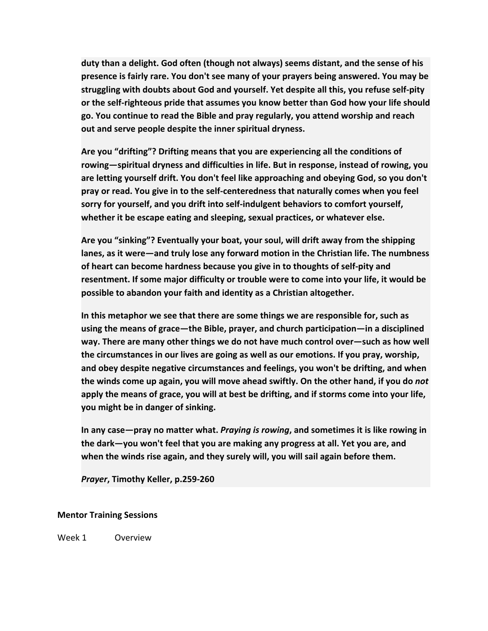**duty than a delight. God often (though not always) seems distant, and the sense of his presence is fairly rare. You don't see many of your prayers being answered. You may be struggling with doubts about God and yourself. Yet despite all this, you refuse self-pity or the self-righteous pride that assumes you know better than God how your life should go. You continue to read the Bible and pray regularly, you attend worship and reach out and serve people despite the inner spiritual dryness.**

**Are you "drifting"? Drifting means that you are experiencing all the conditions of rowing—spiritual dryness and difficulties in life. But in response, instead of rowing, you are letting yourself drift. You don't feel like approaching and obeying God, so you don't pray or read. You give in to the self-centeredness that naturally comes when you feel sorry for yourself, and you drift into self-indulgent behaviors to comfort yourself, whether it be escape eating and sleeping, sexual practices, or whatever else.**

**Are you "sinking"? Eventually your boat, your soul, will drift away from the shipping lanes, as it were—and truly lose any forward motion in the Christian life. The numbness of heart can become hardness because you give in to thoughts of self-pity and resentment. If some major difficulty or trouble were to come into your life, it would be possible to abandon your faith and identity as a Christian altogether.**

**In this metaphor we see that there are some things we are responsible for, such as using the means of grace—the Bible, prayer, and church participation—in a disciplined way. There are many other things we do not have much control over—such as how well the circumstances in our lives are going as well as our emotions. If you pray, worship, and obey despite negative circumstances and feelings, you won't be drifting, and when the winds come up again, you will move ahead swiftly. On the other hand, if you do** *not* **apply the means of grace, you will at best be drifting, and if storms come into your life, you might be in danger of sinking.**

**In any case—pray no matter what.** *Praying is rowing***, and sometimes it is like rowing in the dark—you won't feel that you are making any progress at all. Yet you are, and when the winds rise again, and they surely will, you will sail again before them.**

*Prayer***, Timothy Keller, p.259-260**

#### **Mentor Training Sessions**

Week 1 Overview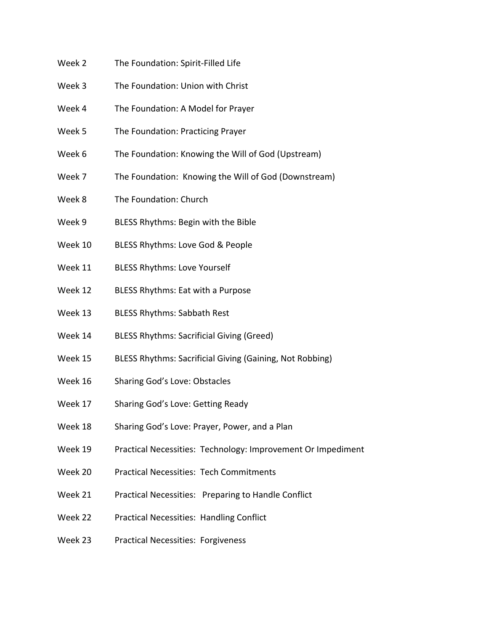- Week 2 The Foundation: Spirit-Filled Life
- Week 3 The Foundation: Union with Christ
- Week 4 The Foundation: A Model for Prayer
- Week 5 The Foundation: Practicing Prayer
- Week 6 The Foundation: Knowing the Will of God (Upstream)
- Week 7 The Foundation: Knowing the Will of God (Downstream)
- Week 8 The Foundation: Church
- Week 9 BLESS Rhythms: Begin with the Bible
- Week 10 BLESS Rhythms: Love God & People
- Week 11 BLESS Rhythms: Love Yourself
- Week 12 BLESS Rhythms: Eat with a Purpose
- Week 13 BLESS Rhythms: Sabbath Rest
- Week 14 BLESS Rhythms: Sacrificial Giving (Greed)
- Week 15 BLESS Rhythms: Sacrificial Giving (Gaining, Not Robbing)
- Week 16 Sharing God's Love: Obstacles
- Week 17 Sharing God's Love: Getting Ready
- Week 18 Sharing God's Love: Prayer, Power, and a Plan
- Week 19 Practical Necessities: Technology: Improvement Or Impediment
- Week 20 Practical Necessities: Tech Commitments
- Week 21 Practical Necessities: Preparing to Handle Conflict
- Week 22 Practical Necessities: Handling Conflict
- Week 23 Practical Necessities: Forgiveness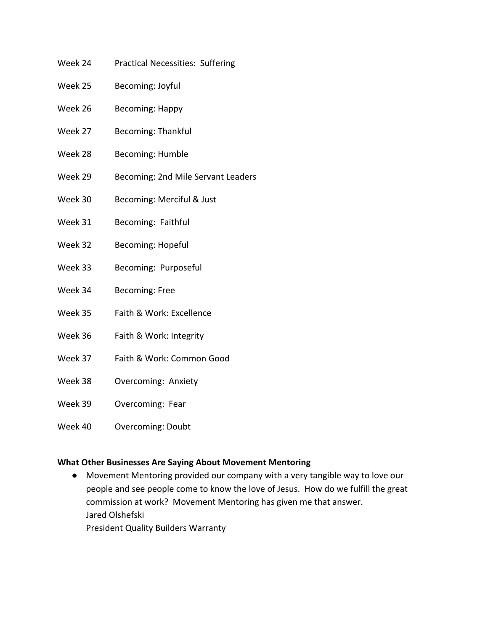- Week 24 Practical Necessities: Suffering
- Week 25 Becoming: Joyful
- Week 26 Becoming: Happy
- Week 27 Becoming: Thankful
- Week 28 Becoming: Humble
- Week 29 Becoming: 2nd Mile Servant Leaders
- Week 30 Becoming: Merciful & Just
- Week 31 Becoming: Faithful
- Week 32 Becoming: Hopeful
- Week 33 Becoming: Purposeful
- Week 34 Becoming: Free
- Week 35 Faith & Work: Excellence
- Week 36 Faith & Work: Integrity
- Week 37 Faith & Work: Common Good
- Week 38 Overcoming: Anxiety
- Week 39 Overcoming: Fear
- Week 40 Overcoming: Doubt

#### **What Other Businesses Are Saying About Movement Mentoring**

● Movement Mentoring provided our company with a very tangible way to love our people and see people come to know the love of Jesus. How do we fulfill the great commission at work? Movement Mentoring has given me that answer. Jared Olshefski President Quality Builders Warranty